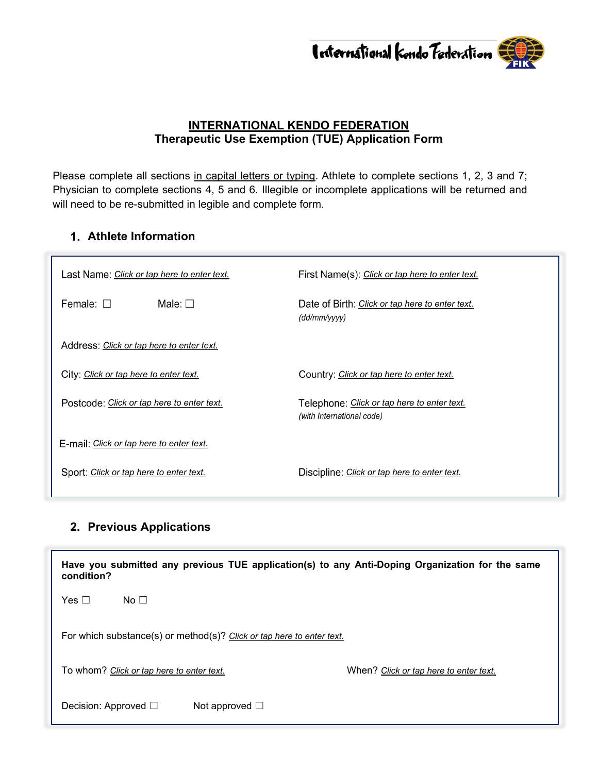

### **INTERNATIONAL KENDO FEDERATION Therapeutic Use Exemption (TUE) Application Form**

Please complete all sections in capital letters or typing. Athlete to complete sections 1, 2, 3 and 7; Physician to complete sections 4, 5 and 6. Illegible or incomplete applications will be returned and will need to be re-submitted in legible and complete form.

### **Athlete Information**

| Last Name: Click or tap here to enter text. | First Name(s): Click or tap here to enter text.                          |  |
|---------------------------------------------|--------------------------------------------------------------------------|--|
| Female: $\Box$<br>Male: $\Box$              | Date of Birth: Click or tap here to enter text.<br>(dd/mm/yyy)           |  |
| Address: Click or tap here to enter text.   |                                                                          |  |
| City: Click or tap here to enter text.      | Country: Click or tap here to enter text.                                |  |
| Postcode: Click or tap here to enter text.  | Telephone: Click or tap here to enter text.<br>(with International code) |  |
| E-mail: Click or tap here to enter text.    |                                                                          |  |
| Sport: Click or tap here to enter text.     | Discipline: <i>Click or tap here to enter text.</i>                      |  |

# **2. Previous Applications**

| Have you submitted any previous TUE application(s) to any Anti-Doping Organization for the same<br>condition? |                                        |  |  |  |  |
|---------------------------------------------------------------------------------------------------------------|----------------------------------------|--|--|--|--|
| Yes $\Box$<br>No $\Box$                                                                                       |                                        |  |  |  |  |
| For which substance(s) or method(s)? Click or tap here to enter text.                                         |                                        |  |  |  |  |
| To whom? Click or tap here to enter text.                                                                     | When? Click or tap here to enter text. |  |  |  |  |
| Decision: Approved $\square$<br>Not approved $\square$                                                        |                                        |  |  |  |  |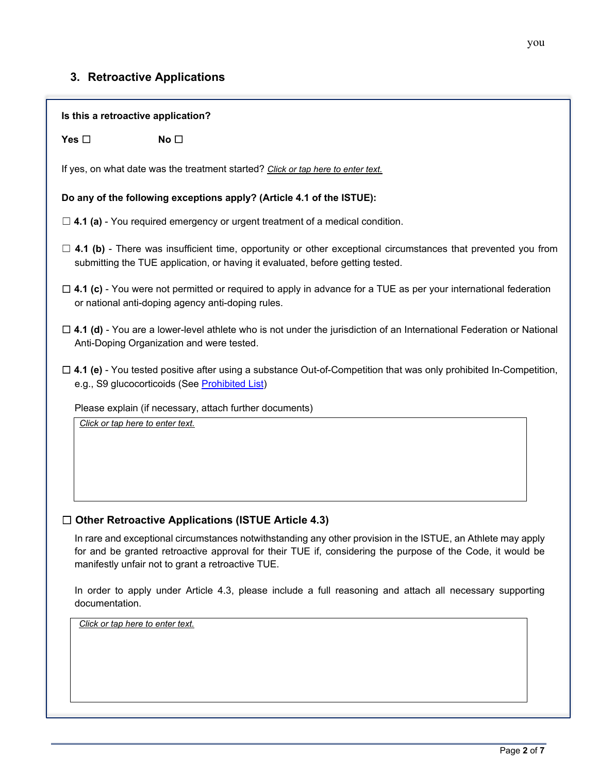# **3. Retroactive Applications**

| Is this a retroactive application?                                                                                                                                                                                                                                              |  |  |  |  |  |
|---------------------------------------------------------------------------------------------------------------------------------------------------------------------------------------------------------------------------------------------------------------------------------|--|--|--|--|--|
| Yes $\square$<br>No <sub>1</sub>                                                                                                                                                                                                                                                |  |  |  |  |  |
| If yes, on what date was the treatment started? Click or tap here to enter text.                                                                                                                                                                                                |  |  |  |  |  |
| Do any of the following exceptions apply? (Article 4.1 of the ISTUE):                                                                                                                                                                                                           |  |  |  |  |  |
| $\Box$ 4.1 (a) - You required emergency or urgent treatment of a medical condition.                                                                                                                                                                                             |  |  |  |  |  |
| $\Box$ 4.1 (b) - There was insufficient time, opportunity or other exceptional circumstances that prevented you from<br>submitting the TUE application, or having it evaluated, before getting tested.                                                                          |  |  |  |  |  |
| $\Box$ 4.1 (c) - You were not permitted or required to apply in advance for a TUE as per your international federation<br>or national anti-doping agency anti-doping rules.                                                                                                     |  |  |  |  |  |
| $\Box$ 4.1 (d) - You are a lower-level athlete who is not under the jurisdiction of an International Federation or National<br>Anti-Doping Organization and were tested.                                                                                                        |  |  |  |  |  |
| $\Box$ 4.1 (e) - You tested positive after using a substance Out-of-Competition that was only prohibited In-Competition,<br>e.g., S9 glucocorticoids (See Prohibited List)                                                                                                      |  |  |  |  |  |
| Please explain (if necessary, attach further documents)                                                                                                                                                                                                                         |  |  |  |  |  |
| Click or tap here to enter text.                                                                                                                                                                                                                                                |  |  |  |  |  |
| <b>Other Retroactive Applications (ISTUE Article 4.3)</b>                                                                                                                                                                                                                       |  |  |  |  |  |
| In rare and exceptional circumstances notwithstanding any other provision in the ISTUE, an Athlete may apply<br>for and be granted retroactive approval for their TUE if, considering the purpose of the Code, it would be<br>manifestly unfair not to grant a retroactive TUE. |  |  |  |  |  |
| In order to apply under Article 4.3, please include a full reasoning and attach all necessary supporting<br>documentation.                                                                                                                                                      |  |  |  |  |  |
| Click or tap here to enter text.                                                                                                                                                                                                                                                |  |  |  |  |  |
|                                                                                                                                                                                                                                                                                 |  |  |  |  |  |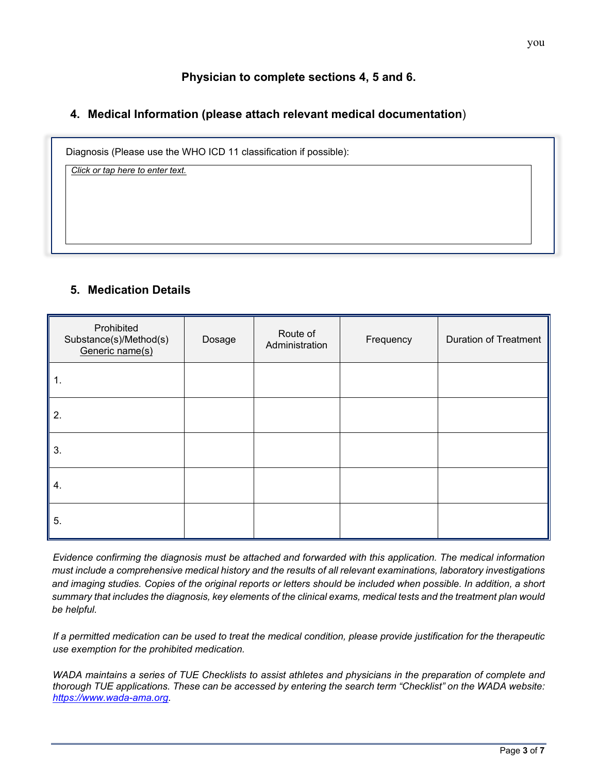## **Physician to complete sections 4, 5 and 6.**

### **4. Medical Information (please attach relevant medical documentation**)

Diagnosis (Please use the WHO ICD 11 classification if possible):

*Click or tap here to enter text.*

### **5. Medication Details**

| Prohibited<br>Substance(s)/Method(s)<br>Generic name(s) | Dosage | Route of<br>Administration | Frequency | <b>Duration of Treatment</b> |
|---------------------------------------------------------|--------|----------------------------|-----------|------------------------------|
| 1.                                                      |        |                            |           |                              |
| 2.                                                      |        |                            |           |                              |
| 3.                                                      |        |                            |           |                              |
| 4.                                                      |        |                            |           |                              |
| 5.                                                      |        |                            |           |                              |

*Evidence confirming the diagnosis must be attached and forwarded with this application. The medical information must include a comprehensive medical history and the results of all relevant examinations, laboratory investigations and imaging studies. Copies of the original reports or letters should be included when possible. In addition, a short summary that includes the diagnosis, key elements of the clinical exams, medical tests and the treatment plan would be helpful.* 

*If a permitted medication can be used to treat the medical condition, please provide justification for the therapeutic use exemption for the prohibited medication.*

*WADA maintains a series of TUE Checklists to assist athletes and physicians in the preparation of complete and thorough TUE applications. These can be accessed by entering the search term "Checklist" on the WADA website: [https://www.wada-ama.org.](https://www.wada-ama.org/)*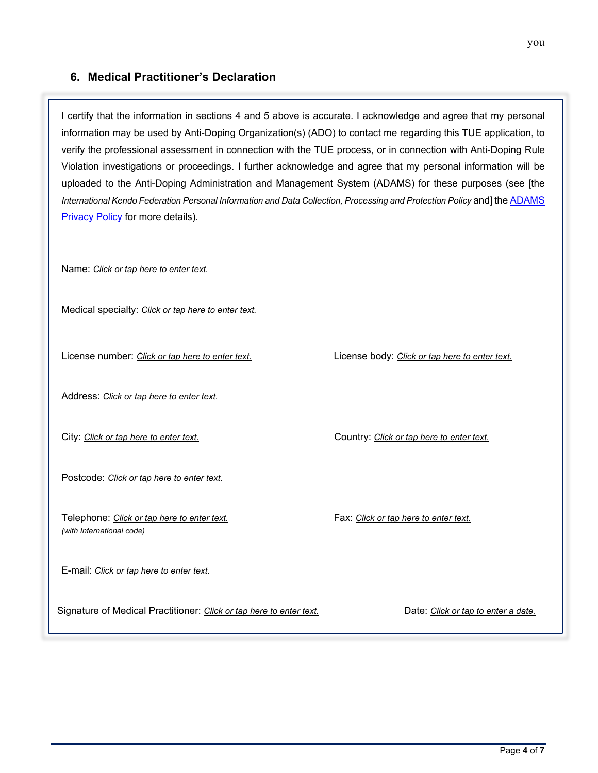### **6. Medical Practitioner's Declaration**

I certify that the information in sections 4 and 5 above is accurate. I acknowledge and agree that my personal information may be used by Anti-Doping Organization(s) (ADO) to contact me regarding this TUE application, to verify the professional assessment in connection with the TUE process, or in connection with Anti-Doping Rule Violation investigations or proceedings. I further acknowledge and agree that my personal information will be uploaded to the Anti-Doping Administration and Management System (ADAMS) for these purposes (see [the *International Kendo Federation Personal Information and Data Collection, Processing and Protection Policy* and] th[e ADAMS](https://adams-help.wada-ama.org/hc/en-us/categories/360001964873-ADAMS-Privacy-and-Security)  [Privacy Policy](https://adams-help.wada-ama.org/hc/en-us/categories/360001964873-ADAMS-Privacy-and-Security) for more details).

Name: *Click or tap here to enter text.*

Medical specialty: *Click or tap here to enter text.*

License number: *Click or tap here to enter text.* License body: *Click or tap here to enter text.*

Address: *Click or tap here to enter text.*

City: *Click or tap here to enter text.* Country: *Click or tap here to enter text.* 

Postcode: *Click or tap here to enter text.*

Telephone: *Click or tap here to enter text.* Fax: *Click or tap here to enter text. (with International code)* 

E-mail: *Click or tap here to enter text.*

Signature of Medical Practitioner: *Click or tap here to enter text.* Date: *Click or tap to enter a date.* 

Page **4** of **7**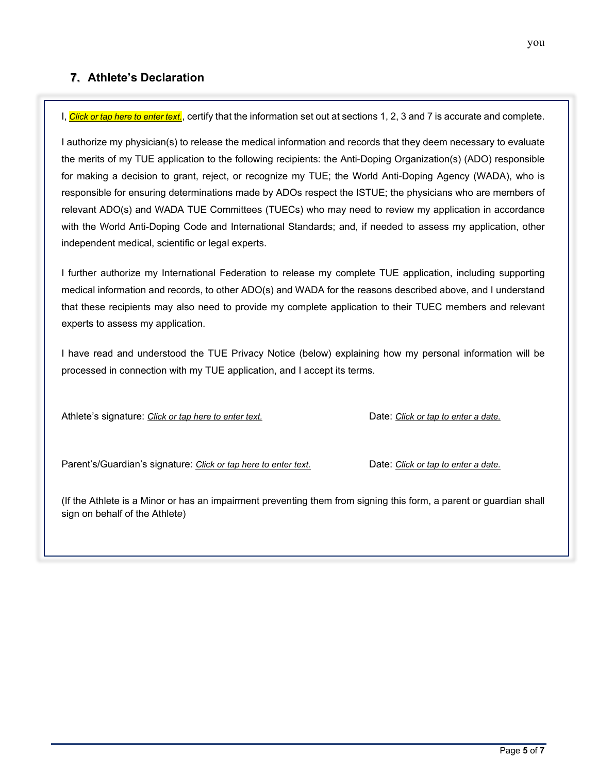### **7. Athlete's Declaration**

I, *Click or tap here to enter text.*, certify that the information set out at sections 1, 2, 3 and 7 is accurate and complete.

I authorize my physician(s) to release the medical information and records that they deem necessary to evaluate the merits of my TUE application to the following recipients: the Anti-Doping Organization(s) (ADO) responsible for making a decision to grant, reject, or recognize my TUE; the World Anti-Doping Agency (WADA), who is responsible for ensuring determinations made by ADOs respect the ISTUE; the physicians who are members of relevant ADO(s) and WADA TUE Committees (TUECs) who may need to review my application in accordance with the World Anti-Doping Code and International Standards; and, if needed to assess my application, other independent medical, scientific or legal experts.

I further authorize my International Federation to release my complete TUE application, including supporting medical information and records, to other ADO(s) and WADA for the reasons described above, and I understand that these recipients may also need to provide my complete application to their TUEC members and relevant experts to assess my application.

I have read and understood the TUE Privacy Notice (below) explaining how my personal information will be processed in connection with my TUE application, and I accept its terms.

Athlete's signature: Click or tap here to enter text. Date: Click or tap to enter a date.

Parent's/Guardian's signature: *Click or tap here to enter text.* Date: *Click or tap to enter a date.* 

(If the Athlete is a Minor or has an impairment preventing them from signing this form, a parent or guardian shall sign on behalf of the Athlet*e*)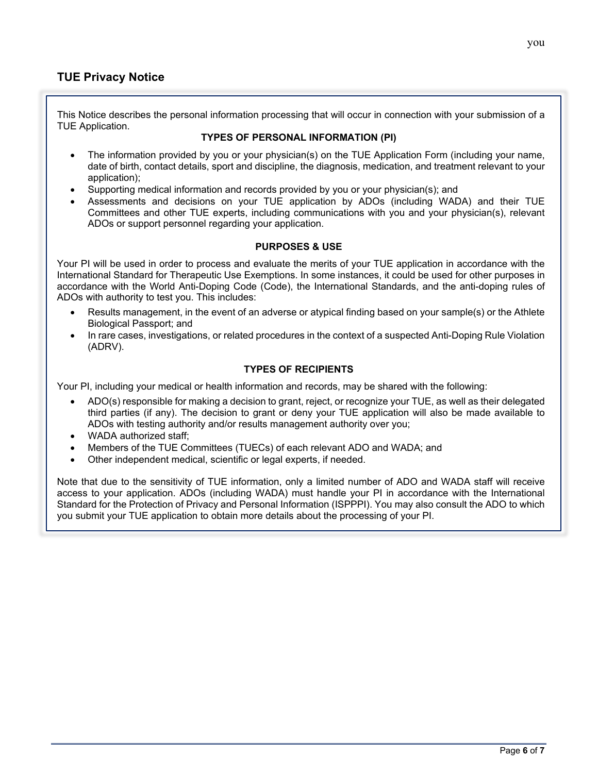### **TUE Privacy Notice**

This Notice describes the personal information processing that will occur in connection with your submission of a TUE Application.

#### **TYPES OF PERSONAL INFORMATION (PI)**

- The information provided by you or your physician(s) on the TUE Application Form (including your name, date of birth, contact details, sport and discipline, the diagnosis, medication, and treatment relevant to your application);
- Supporting medical information and records provided by you or your physician(s); and
- Assessments and decisions on your TUE application by ADOs (including WADA) and their TUE Committees and other TUE experts, including communications with you and your physician(s), relevant ADOs or support personnel regarding your application.

#### **PURPOSES & USE**

Your PI will be used in order to process and evaluate the merits of your TUE application in accordance with the International Standard for Therapeutic Use Exemptions. In some instances, it could be used for other purposes in accordance with the World Anti-Doping Code (Code), the International Standards, and the anti-doping rules of ADOs with authority to test you. This includes:

- Results management, in the event of an adverse or atypical finding based on your sample(s) or the Athlete Biological Passport; and
- In rare cases, investigations, or related procedures in the context of a suspected Anti-Doping Rule Violation (ADRV).

### **TYPES OF RECIPIENTS**

Your PI, including your medical or health information and records, may be shared with the following:

- ADO(s) responsible for making a decision to grant, reject, or recognize your TUE, as well as their delegated third parties (if any). The decision to grant or deny your TUE application will also be made available to ADOs with testing authority and/or results management authority over you;
- WADA authorized staff:
- Members of the TUE Committees (TUECs) of each relevant ADO and WADA; and
- Other independent medical, scientific or legal experts, if needed.

Note that due to the sensitivity of TUE information, only a limited number of ADO and WADA staff will receive access to your application. ADOs (including WADA) must handle your PI in accordance with the International Standard for the Protection of Privacy and Personal Information (ISPPPI). You may also consult the ADO to which you submit your TUE application to obtain more details about the processing of your PI.